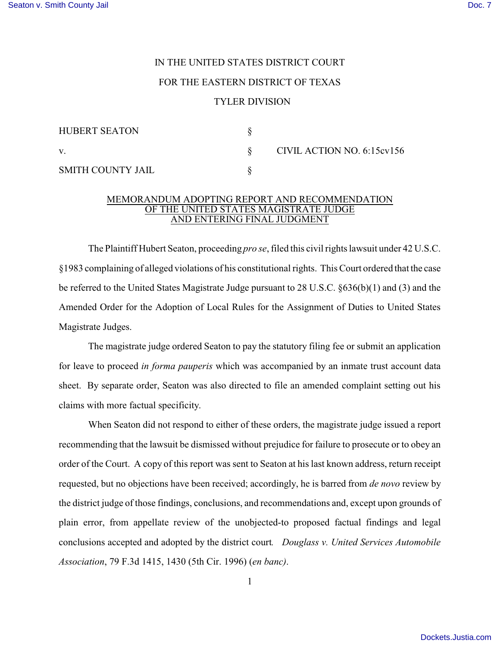## IN THE UNITED STATES DISTRICT COURT FOR THE EASTERN DISTRICT OF TEXAS TYLER DIVISION

| <b>HUBERT SEATON</b>     |                            |
|--------------------------|----------------------------|
| V.                       | CIVIL ACTION NO. 6:15cv156 |
| <b>SMITH COUNTY JAIL</b> |                            |

## MEMORANDUM ADOPTING REPORT AND RECOMMENDATION OF THE UNITED STATES MAGISTRATE JUDGE AND ENTERING FINAL JUDGMENT

The Plaintiff Hubert Seaton, proceeding *pro se*, filed this civil rights lawsuit under 42 U.S.C. §1983 complaining of alleged violations of his constitutional rights. This Court ordered that the case be referred to the United States Magistrate Judge pursuant to 28 U.S.C. §636(b)(1) and (3) and the Amended Order for the Adoption of Local Rules for the Assignment of Duties to United States Magistrate Judges.

The magistrate judge ordered Seaton to pay the statutory filing fee or submit an application for leave to proceed *in forma pauperis* which was accompanied by an inmate trust account data sheet. By separate order, Seaton was also directed to file an amended complaint setting out his claims with more factual specificity.

When Seaton did not respond to either of these orders, the magistrate judge issued a report recommending that the lawsuit be dismissed without prejudice for failure to prosecute or to obey an order of the Court. A copy of this report was sent to Seaton at his last known address, return receipt requested, but no objections have been received; accordingly, he is barred from *de novo* review by the district judge of those findings, conclusions, and recommendations and, except upon grounds of plain error, from appellate review of the unobjected-to proposed factual findings and legal conclusions accepted and adopted by the district court*. Douglass v. United Services Automobile Association*, 79 F.3d 1415, 1430 (5th Cir. 1996) (*en banc)*.